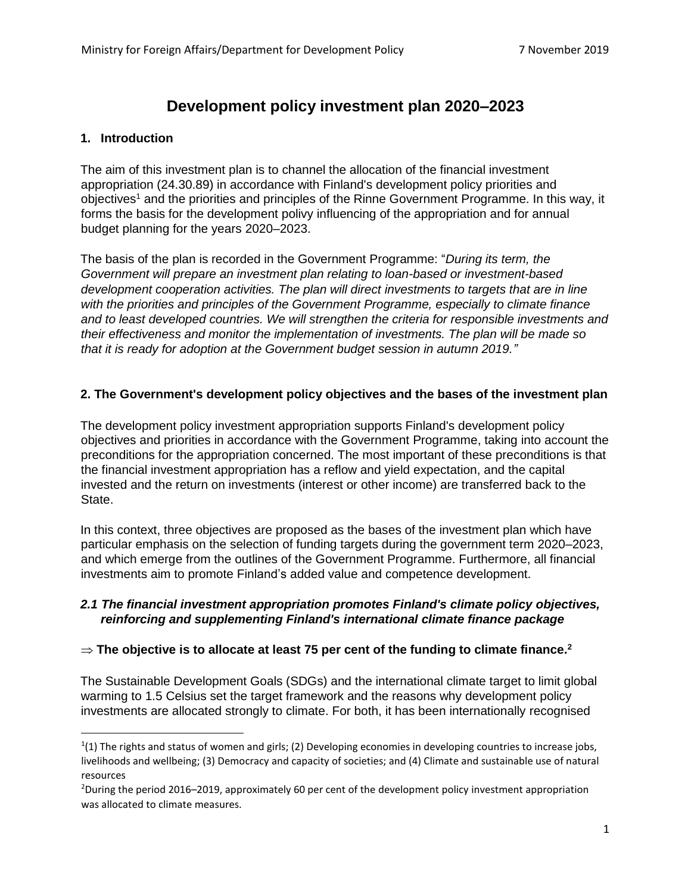# **Development policy investment plan 2020–2023**

# **1. Introduction**

The aim of this investment plan is to channel the allocation of the financial investment appropriation (24.30.89) in accordance with Finland's development policy priorities and objectives<sup>1</sup> and the priorities and principles of the Rinne Government Programme. In this way, it forms the basis for the development polivy influencing of the appropriation and for annual budget planning for the years 2020–2023.

The basis of the plan is recorded in the Government Programme: "*During its term, the Government will prepare an investment plan relating to loan-based or investment-based development cooperation activities. The plan will direct investments to targets that are in line with the priorities and principles of the Government Programme, especially to climate finance and to least developed countries. We will strengthen the criteria for responsible investments and their effectiveness and monitor the implementation of investments. The plan will be made so that it is ready for adoption at the Government budget session in autumn 2019."*

# **2. The Government's development policy objectives and the bases of the investment plan**

The development policy investment appropriation supports Finland's development policy objectives and priorities in accordance with the Government Programme, taking into account the preconditions for the appropriation concerned. The most important of these preconditions is that the financial investment appropriation has a reflow and yield expectation, and the capital invested and the return on investments (interest or other income) are transferred back to the State.

In this context, three objectives are proposed as the bases of the investment plan which have particular emphasis on the selection of funding targets during the government term 2020–2023, and which emerge from the outlines of the Government Programme. Furthermore, all financial investments aim to promote Finland's added value and competence development.

## *2.1 The financial investment appropriation promotes Finland's climate policy objectives, reinforcing and supplementing Finland's international climate finance package*

# $\Rightarrow$  The objective is to allocate at least 75 per cent of the funding to climate finance. $^2$

The Sustainable Development Goals (SDGs) and the international climate target to limit global warming to 1.5 Celsius set the target framework and the reasons why development policy investments are allocated strongly to climate. For both, it has been internationally recognised

 $(1)$  The rights and status of women and girls; (2) Developing economies in developing countries to increase jobs, livelihoods and wellbeing; (3) Democracy and capacity of societies; and (4) Climate and sustainable use of natural resources

<sup>2</sup>During the period 2016–2019, approximately 60 per cent of the development policy investment appropriation was allocated to climate measures.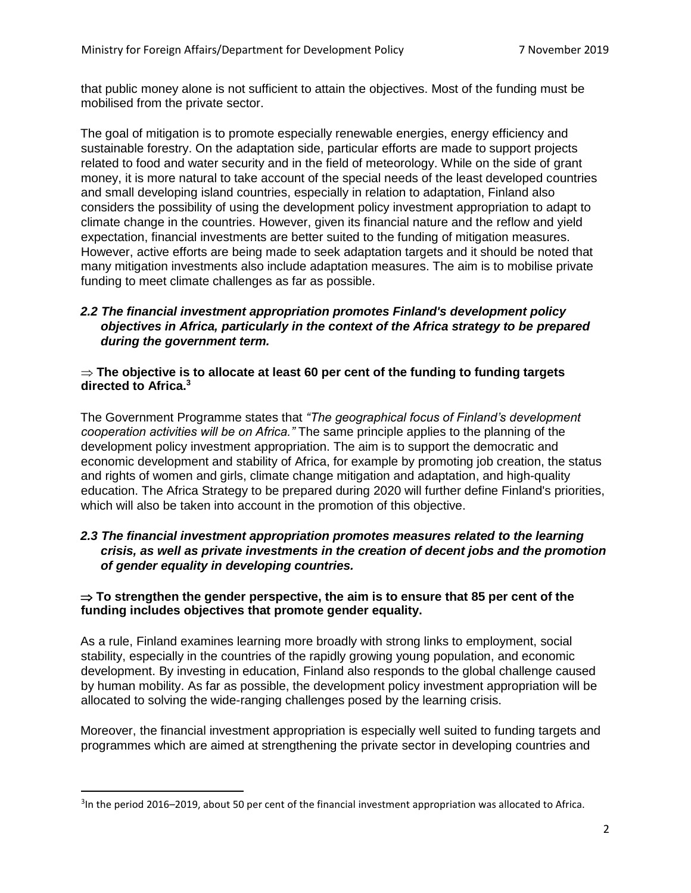that public money alone is not sufficient to attain the objectives. Most of the funding must be mobilised from the private sector.

The goal of mitigation is to promote especially renewable energies, energy efficiency and sustainable forestry. On the adaptation side, particular efforts are made to support projects related to food and water security and in the field of meteorology. While on the side of grant money, it is more natural to take account of the special needs of the least developed countries and small developing island countries, especially in relation to adaptation, Finland also considers the possibility of using the development policy investment appropriation to adapt to climate change in the countries. However, given its financial nature and the reflow and yield expectation, financial investments are better suited to the funding of mitigation measures. However, active efforts are being made to seek adaptation targets and it should be noted that many mitigation investments also include adaptation measures. The aim is to mobilise private funding to meet climate challenges as far as possible.

#### *2.2 The financial investment appropriation promotes Finland's development policy objectives in Africa, particularly in the context of the Africa strategy to be prepared during the government term.*

#### **The objective is to allocate at least 60 per cent of the funding to funding targets directed to Africa.<sup>3</sup>**

The Government Programme states that *"The geographical focus of Finland's development cooperation activities will be on Africa."* The same principle applies to the planning of the development policy investment appropriation. The aim is to support the democratic and economic development and stability of Africa, for example by promoting job creation, the status and rights of women and girls, climate change mitigation and adaptation, and high-quality education. The Africa Strategy to be prepared during 2020 will further define Finland's priorities, which will also be taken into account in the promotion of this objective.

#### *2.3 The financial investment appropriation promotes measures related to the learning crisis, as well as private investments in the creation of decent jobs and the promotion of gender equality in developing countries.*

## **To strengthen the gender perspective, the aim is to ensure that 85 per cent of the funding includes objectives that promote gender equality.**

As a rule, Finland examines learning more broadly with strong links to employment, social stability, especially in the countries of the rapidly growing young population, and economic development. By investing in education, Finland also responds to the global challenge caused by human mobility. As far as possible, the development policy investment appropriation will be allocated to solving the wide-ranging challenges posed by the learning crisis.

Moreover, the financial investment appropriation is especially well suited to funding targets and programmes which are aimed at strengthening the private sector in developing countries and

<sup>&</sup>lt;sup>3</sup>In the period 2016–2019, about 50 per cent of the financial investment appropriation was allocated to Africa.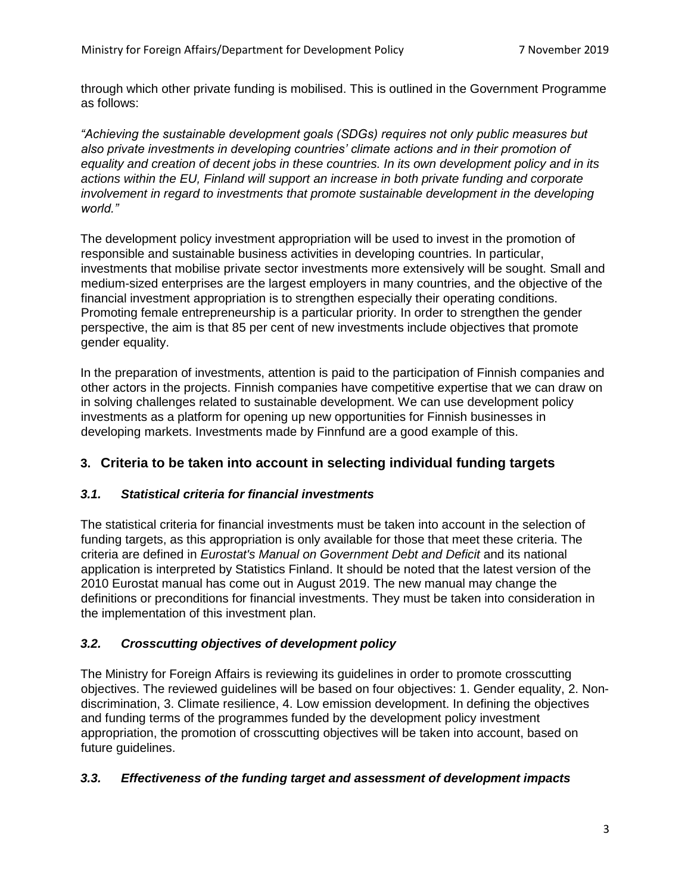through which other private funding is mobilised. This is outlined in the Government Programme as follows:

*"Achieving the sustainable development goals (SDGs) requires not only public measures but also private investments in developing countries' climate actions and in their promotion of equality and creation of decent jobs in these countries. In its own development policy and in its actions within the EU, Finland will support an increase in both private funding and corporate involvement in regard to investments that promote sustainable development in the developing world."*

The development policy investment appropriation will be used to invest in the promotion of responsible and sustainable business activities in developing countries. In particular, investments that mobilise private sector investments more extensively will be sought. Small and medium-sized enterprises are the largest employers in many countries, and the objective of the financial investment appropriation is to strengthen especially their operating conditions. Promoting female entrepreneurship is a particular priority. In order to strengthen the gender perspective, the aim is that 85 per cent of new investments include objectives that promote gender equality.

In the preparation of investments, attention is paid to the participation of Finnish companies and other actors in the projects. Finnish companies have competitive expertise that we can draw on in solving challenges related to sustainable development. We can use development policy investments as a platform for opening up new opportunities for Finnish businesses in developing markets. Investments made by Finnfund are a good example of this.

# **3. Criteria to be taken into account in selecting individual funding targets**

# *3.1. Statistical criteria for financial investments*

The statistical criteria for financial investments must be taken into account in the selection of funding targets, as this appropriation is only available for those that meet these criteria. The criteria are defined in *Eurostat's Manual on Government Debt and Deficit* and its national application is interpreted by Statistics Finland. It should be noted that the latest version of the 2010 Eurostat manual has come out in August 2019. The new manual may change the definitions or preconditions for financial investments. They must be taken into consideration in the implementation of this investment plan.

# *3.2. Crosscutting objectives of development policy*

The Ministry for Foreign Affairs is reviewing its guidelines in order to promote crosscutting objectives. The reviewed guidelines will be based on four objectives: 1. Gender equality, 2. Nondiscrimination, 3. Climate resilience, 4. Low emission development. In defining the objectives and funding terms of the programmes funded by the development policy investment appropriation, the promotion of crosscutting objectives will be taken into account, based on future guidelines.

# *3.3. Effectiveness of the funding target and assessment of development impacts*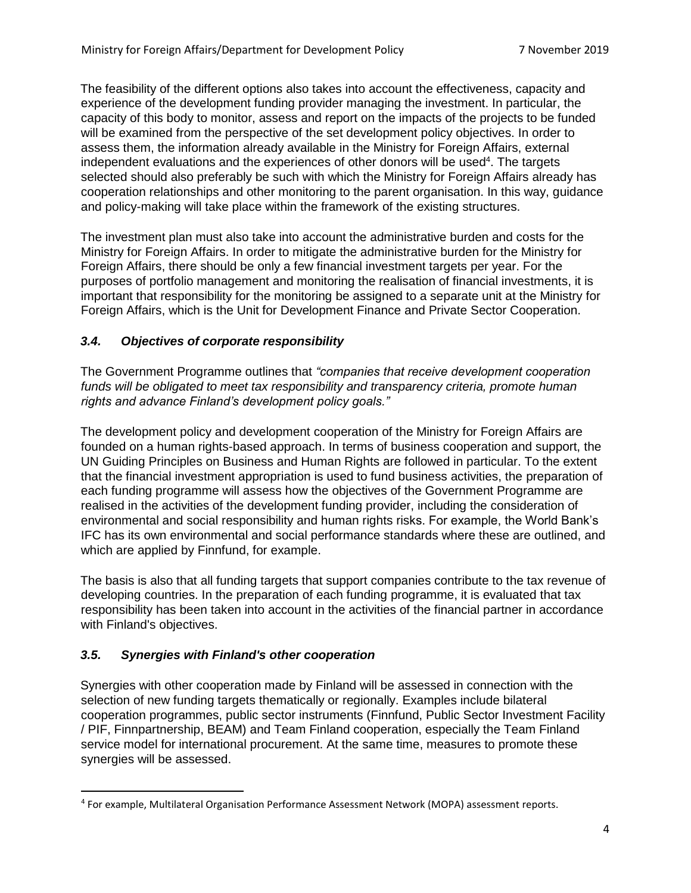The feasibility of the different options also takes into account the effectiveness, capacity and experience of the development funding provider managing the investment. In particular, the capacity of this body to monitor, assess and report on the impacts of the projects to be funded will be examined from the perspective of the set development policy objectives. In order to assess them, the information already available in the Ministry for Foreign Affairs, external independent evaluations and the experiences of other donors will be used<sup>4</sup>. The targets selected should also preferably be such with which the Ministry for Foreign Affairs already has cooperation relationships and other monitoring to the parent organisation. In this way, guidance and policy-making will take place within the framework of the existing structures.

The investment plan must also take into account the administrative burden and costs for the Ministry for Foreign Affairs. In order to mitigate the administrative burden for the Ministry for Foreign Affairs, there should be only a few financial investment targets per year. For the purposes of portfolio management and monitoring the realisation of financial investments, it is important that responsibility for the monitoring be assigned to a separate unit at the Ministry for Foreign Affairs, which is the Unit for Development Finance and Private Sector Cooperation.

# *3.4. Objectives of corporate responsibility*

The Government Programme outlines that *"companies that receive development cooperation funds will be obligated to meet tax responsibility and transparency criteria, promote human rights and advance Finland's development policy goals."*

The development policy and development cooperation of the Ministry for Foreign Affairs are founded on a human rights-based approach. In terms of business cooperation and support, the UN Guiding Principles on Business and Human Rights are followed in particular. To the extent that the financial investment appropriation is used to fund business activities, the preparation of each funding programme will assess how the objectives of the Government Programme are realised in the activities of the development funding provider, including the consideration of environmental and social responsibility and human rights risks. For example, the World Bank's IFC has its own environmental and social performance standards where these are outlined, and which are applied by Finnfund, for example.

The basis is also that all funding targets that support companies contribute to the tax revenue of developing countries. In the preparation of each funding programme, it is evaluated that tax responsibility has been taken into account in the activities of the financial partner in accordance with Finland's objectives.

# *3.5. Synergies with Finland's other cooperation*

Synergies with other cooperation made by Finland will be assessed in connection with the selection of new funding targets thematically or regionally. Examples include bilateral cooperation programmes, public sector instruments (Finnfund, Public Sector Investment Facility / PIF, Finnpartnership, BEAM) and Team Finland cooperation, especially the Team Finland service model for international procurement. At the same time, measures to promote these synergies will be assessed.

<sup>4</sup> For example, Multilateral Organisation Performance Assessment Network (MOPA) assessment reports.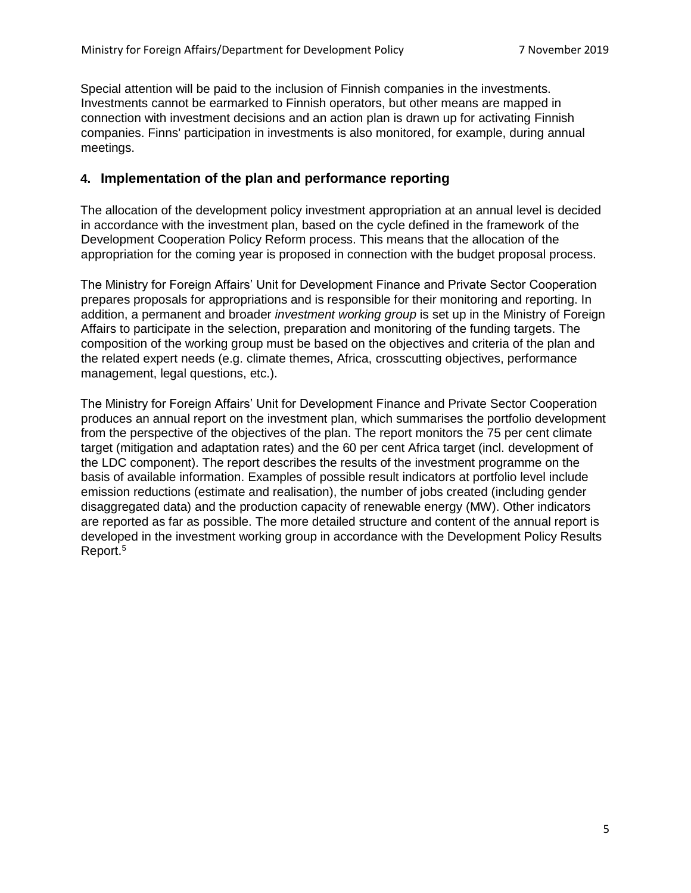Special attention will be paid to the inclusion of Finnish companies in the investments. Investments cannot be earmarked to Finnish operators, but other means are mapped in connection with investment decisions and an action plan is drawn up for activating Finnish companies. Finns' participation in investments is also monitored, for example, during annual meetings.

## **4. Implementation of the plan and performance reporting**

The allocation of the development policy investment appropriation at an annual level is decided in accordance with the investment plan, based on the cycle defined in the framework of the Development Cooperation Policy Reform process. This means that the allocation of the appropriation for the coming year is proposed in connection with the budget proposal process.

The Ministry for Foreign Affairs' Unit for Development Finance and Private Sector Cooperation prepares proposals for appropriations and is responsible for their monitoring and reporting. In addition, a permanent and broader *investment working group* is set up in the Ministry of Foreign Affairs to participate in the selection, preparation and monitoring of the funding targets. The composition of the working group must be based on the objectives and criteria of the plan and the related expert needs (e.g. climate themes, Africa, crosscutting objectives, performance management, legal questions, etc.).

The Ministry for Foreign Affairs' Unit for Development Finance and Private Sector Cooperation produces an annual report on the investment plan, which summarises the portfolio development from the perspective of the objectives of the plan. The report monitors the 75 per cent climate target (mitigation and adaptation rates) and the 60 per cent Africa target (incl. development of the LDC component). The report describes the results of the investment programme on the basis of available information. Examples of possible result indicators at portfolio level include emission reductions (estimate and realisation), the number of jobs created (including gender disaggregated data) and the production capacity of renewable energy (MW). Other indicators are reported as far as possible. The more detailed structure and content of the annual report is developed in the investment working group in accordance with the Development Policy Results Report.5